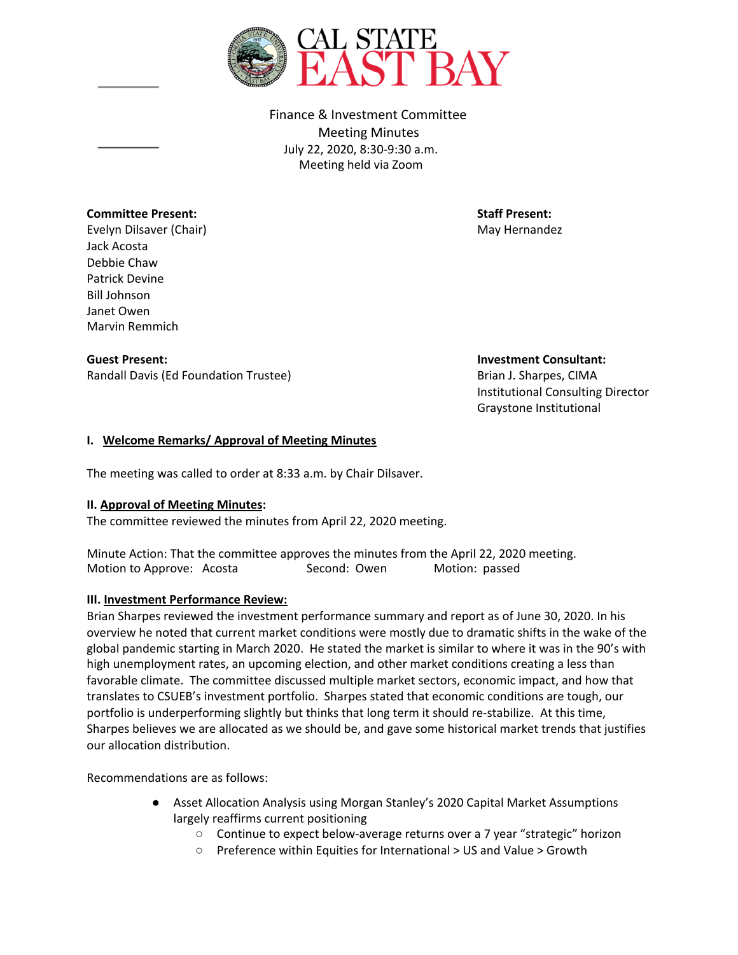

Finance & Investment Committee Meeting Minutes July 22, 2020, 8:30-9:30 a.m. Meeting held via Zoom

### **Committee Present: Staff Present: Staff Present: Staff Present: Staff Present: Staff Present: Staff Present: Staff Present: Staff Present: Staff Present: Staff Present: Staff Pr**

Evelyn Dilsaver (Chair) May Hernandez Evelyn May Hernandez Jack Acosta Debbie Chaw Patrick Devine Bill Johnson Janet Owen Marvin Remmich

Randall Davis (Ed Foundation Trustee) States and Brian J. Sharpes, CIMA

**Guest Present: Investment Consultant:**

Institutional Consulting Director Graystone Institutional

## **I. Welcome Remarks/ Approval of Meeting Minutes**

The meeting was called to order at 8:33 a.m. by Chair Dilsaver.

#### **II. Approval of Meeting Minutes:**

The committee reviewed the minutes from April 22, 2020 meeting.

Minute Action: That the committee approves the minutes from the April 22, 2020 meeting. Motion to Approve: Acosta Second: Owen Motion: passed

#### **III. Investment Performance Review:**

Brian Sharpes reviewed the investment performance summary and report as of June 30, 2020. In his overview he noted that current market conditions were mostly due to dramatic shifts in the wake of the global pandemic starting in March 2020. He stated the market is similar to where it was in the 90's with high unemployment rates, an upcoming election, and other market conditions creating a less than favorable climate. The committee discussed multiple market sectors, economic impact, and how that translates to CSUEB's investment portfolio. Sharpes stated that economic conditions are tough, our portfolio is underperforming slightly but thinks that long term it should re-stabilize. At this time, Sharpes believes we are allocated as we should be, and gave some historical market trends that justifies our allocation distribution.

Recommendations are as follows:

- Asset Allocation Analysis using Morgan Stanley's 2020 Capital Market Assumptions largely reaffirms current positioning
	- Continue to expect below-average returns over a 7 year "strategic" horizon
	- Preference within Equities for International > US and Value > Growth